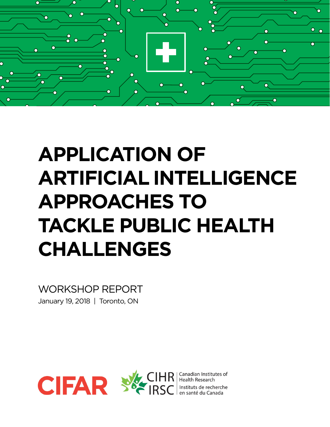

# **APPLICATION OF ARTIFICIAL INTELLIGENCE APPROACHES TO TACKLE PUBLIC HEALTH CHALLENGES**

WORKSHOP REPORT January 19, 2018 | Toronto, ON





Canadian Institutes of **Health Research** Instituts de recherche en santé du Canada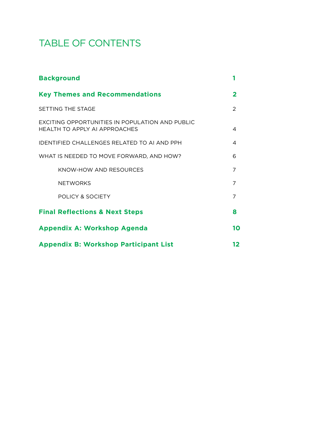# TABLE OF CONTENTS

| <b>Background</b>                                                                      |                |
|----------------------------------------------------------------------------------------|----------------|
| <b>Key Themes and Recommendations</b>                                                  | $\mathbf 2$    |
| SETTING THE STAGE                                                                      | $\mathcal{P}$  |
| <b>EXCITING OPPORTUNITIES IN POPULATION AND PUBLIC</b><br>HEALTH TO APPLY ALAPPROACHES | 4              |
| IDENTIFIED CHALLENGES RELATED TO ALAND PPH                                             | 4              |
| WHAT IS NEEDED TO MOVE FORWARD, AND HOW?                                               | 6              |
| KNOW-HOW AND RESOURCES                                                                 | 7              |
| <b>NETWORKS</b>                                                                        | 7              |
| POLICY & SOCIETY                                                                       | $\overline{7}$ |
| <b>Final Reflections &amp; Next Steps</b>                                              | 8              |
| <b>Appendix A: Workshop Agenda</b>                                                     |                |
| <b>Appendix B: Workshop Participant List</b>                                           |                |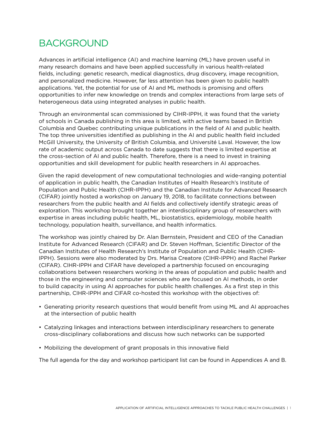# BACKGROUND

Advances in artificial intelligence (AI) and machine learning (ML) have proven useful in many research domains and have been applied successfully in various health-related fields, including: genetic research, medical diagnostics, drug discovery, image recognition, and personalized medicine. However, far less attention has been given to public health applications. Yet, the potential for use of AI and ML methods is promising and offers opportunities to infer new knowledge on trends and complex interactions from large sets of heterogeneous data using integrated analyses in public health.

Through an environmental scan commissioned by CIHR-IPPH, it was found that the variety of schools in Canada publishing in this area is limited, with active teams based in British Columbia and Quebec contributing unique publications in the field of AI and public health. The top three universities identified as publishing in the AI and public health field included McGill University, the University of British Columbia, and Université Laval. However, the low rate of academic output across Canada to date suggests that there is limited expertise at the cross-section of AI and public health. Therefore, there is a need to invest in training opportunities and skill development for public health researchers in AI approaches.

Given the rapid development of new computational technologies and wide-ranging potential of application in public health, the Canadian Institutes of Health Research's Institute of Population and Public Health (CIHR-IPPH) and the Canadian Institute for Advanced Research (CIFAR) jointly hosted a workshop on January 19, 2018, to facilitate connections between researchers from the public health and AI fields and collectively identify strategic areas of exploration. This workshop brought together an interdisciplinary group of researchers with expertise in areas including public health, ML, biostatistics, epidemiology, mobile health technology, population health, surveillance, and health informatics.

The workshop was jointly chaired by Dr. Alan Bernstein, President and CEO of the Canadian Institute for Advanced Research (CIFAR) and Dr. Steven Hoffman, Scientific Director of the Canadian Institutes of Health Research's Institute of Population and Public Health (CIHR-IPPH). Sessions were also moderated by Drs. Marisa Creatore (CIHR-IPPH) and Rachel Parker (CIFAR). CIHR-IPPH and CIFAR have developed a partnership focused on encouraging collaborations between researchers working in the areas of population and public health and those in the engineering and computer sciences who are focused on AI methods, in order to build capacity in using AI approaches for public health challenges. As a first step in this partnership, CIHR-IPPH and CIFAR co-hosted this workshop with the objectives of:

- Generating priority research questions that would benefit from using ML and AI approaches at the intersection of public health
- Catalyzing linkages and interactions between interdisciplinary researchers to generate cross-disciplinary collaborations and discuss how such networks can be supported
- Mobilizing the development of grant proposals in this innovative field

The full agenda for the day and workshop participant list can be found in Appendices A and B.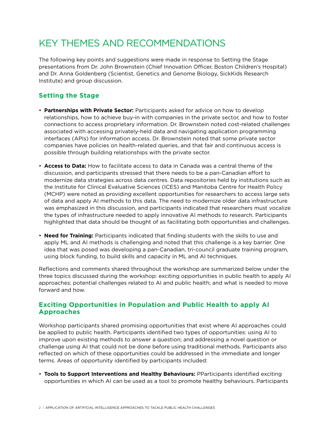# KEY THEMES AND RECOMMENDATIONS

The following key points and suggestions were made in response to Setting the Stage presentations from Dr. John Brownstein (Chief Innovation Officer, Boston Children's Hospital) and Dr. Anna Goldenberg (Scientist, Genetics and Genome Biology, SickKids Research Institute) and group discussion.

### **Setting the Stage**

- **Partnerships with Private Sector:** Participants asked for advice on how to develop relationships, how to achieve buy-in with companies in the private sector, and how to foster connections to access proprietary information. Dr. Brownstein noted cost-related challenges associated with accessing privately-held data and navigating application programming interfaces (APIs) for information access. Dr. Brownstein noted that some private sector companies have policies on health-related queries, and that fair and continuous access is possible through building relationships with the private sector.
- **Access to Data:** How to facilitate access to data in Canada was a central theme of the discussion, and participants stressed that there needs to be a pan-Canadian effort to modernize data strategies across data centres. Data repositories held by institutions such as the Institute for Clinical Evaluative Sciences (ICES) and Manitoba Centre for Health Policy (MCHP) were noted as providing excellent opportunities for researchers to access large sets of data and apply AI methods to this data. The need to modernize older data infrastructure was emphasized in this discussion, and participants indicated that researchers must vocalize the types of infrastructure needed to apply innovative AI methods to research. Participants highlighted that data should be thought of as facilitating both opportunities and challenges.
- **Need for Training:** Participants indicated that finding students with the skills to use and apply ML and AI methods is challenging and noted that this challenge is a key barrier. One idea that was posed was developing a pan-Canadian, tri-council graduate training program, using block funding, to build skills and capacity in ML and AI techniques.

Reflections and comments shared throughout the workshop are summarized below under the three topics discussed during the workshop: exciting opportunities in public health to apply AI approaches; potential challenges related to AI and public health; and what is needed to move forward and how.

### **Exciting Opportunities in Population and Public Health to apply AI Approaches**

Workshop participants shared promising opportunities that exist where AI approaches could be applied to public health. Participants identified two types of opportunities: using AI to improve upon existing methods to answer a question; and addressing a novel question or challenge using AI that could not be done before using traditional methods. Participants also reflected on which of these opportunities could be addressed in the immediate and longer terms. Areas of opportunity identified by participants included:

• **Tools to Support Interventions and Healthy Behaviours:** PParticipants identified exciting opportunities in which AI can be used as a tool to promote healthy behaviours. Participants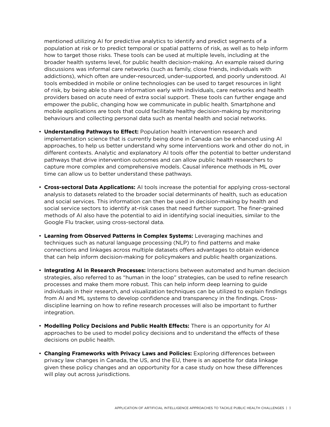mentioned utilizing AI for predictive analytics to identify and predict segments of a population at risk or to predict temporal or spatial patterns of risk, as well as to help inform how to target those risks. These tools can be used at multiple levels, including at the broader health systems level, for public health decision-making. An example raised during discussions was informal care networks (such as family, close friends, individuals with addictions), which often are under-resourced, under-supported, and poorly understood. AI tools embedded in mobile or online technologies can be used to target resources in light of risk, by being able to share information early with individuals, care networks and health providers based on acute need of extra social support. These tools can further engage and empower the public, changing how we communicate in public health. Smartphone and mobile applications are tools that could facilitate healthy decision-making by monitoring behaviours and collecting personal data such as mental health and social networks.

- **Understanding Pathways to Effect:** Population health intervention research and implementation science that is currently being done in Canada can be enhanced using AI approaches, to help us better understand why some interventions work and other do not, in different contexts. Analytic and explanatory AI tools offer the potential to better understand pathways that drive intervention outcomes and can allow public health researchers to capture more complex and comprehensive models. Causal inference methods in ML over time can allow us to better understand these pathways.
- **Cross-sectoral Data Applications:** AI tools increase the potential for applying cross-sectoral analysis to datasets related to the broader social determinants of health, such as education and social services. This information can then be used in decision-making by health and social service sectors to identify at-risk cases that need further support. The finer-grained methods of AI also have the potential to aid in identifying social inequities, similar to the Google Flu tracker, using cross-sectoral data.
- **Learning from Observed Patterns in Complex Systems:** Leveraging machines and techniques such as natural language processing (NLP) to find patterns and make connections and linkages across multiple datasets offers advantages to obtain evidence that can help inform decision-making for policymakers and public health organizations.
- **Integrating AI in Research Processes:** Interactions between automated and human decision strategies, also referred to as "human in the loop" strategies, can be used to refine research processes and make them more robust. This can help inform deep learning to guide individuals in their research, and visualization techniques can be utilized to explain findings from AI and ML systems to develop confidence and transparency in the findings. Crossdiscipline learning on how to refine research processes will also be important to further integration.
- **Modelling Policy Decisions and Public Health Effects:** There is an opportunity for AI approaches to be used to model policy decisions and to understand the effects of these decisions on public health.
- **Changing Frameworks with Privacy Laws and Policies:** Exploring differences between privacy law changes in Canada, the US, and the EU, there is an appetite for data linkage given these policy changes and an opportunity for a case study on how these differences will play out across jurisdictions.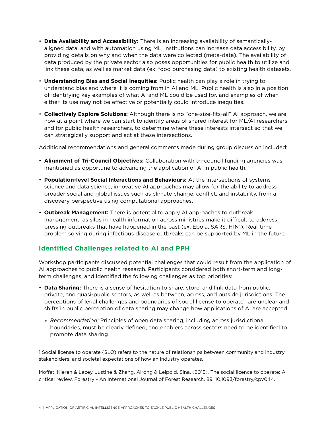- **Data Availability and Accessibility:** There is an increasing availability of semanticallyaligned data, and with automation using ML, institutions can increase data accessibility, by providing details on why and when the data were collected (meta-data). The availability of data produced by the private sector also poses opportunities for public health to utilize and link these data, as well as market data (ex. food purchasing data) to existing health datasets.
- **Understanding Bias and Social Inequities:** Public health can play a role in trying to understand bias and where it is coming from in AI and ML. Public health is also in a position of identifying key examples of what AI and ML could be used for, and examples of when either its use may not be effective or potentially could introduce inequities.
- **Collectively Explore Solutions:** Although there is no "one-size-fits-all" AI approach, we are now at a point where we can start to identify areas of shared interest for ML/AI researchers and for public health researchers, to determine where these interests intersect so that we can strategically support and act at these intersections.

Additional recommendations and general comments made during group discussion included:

- **Alignment of Tri-Council Objectives:** Collaboration with tri-council funding agencies was mentioned as opportune to advancing the application of AI in public health.
- **Population-level Social Interactions and Behaviours:** At the intersections of systems science and data science, innovative AI approaches may allow for the ability to address broader social and global issues such as climate change, conflict, and instability, from a discovery perspective using computational approaches.
- **Outbreak Management:** There is potential to apply AI approaches to outbreak management, as silos in health information across ministries make it difficult to address pressing outbreaks that have happened in the past (ex. Ebola, SARS, H1N1). Real-time problem solving during infectious disease outbreaks can be supported by ML in the future.

### **Identified Challenges related to AI and PPH**

Workshop participants discussed potential challenges that could result from the application of AI approaches to public health research. Participants considered both short-term and longterm challenges, and identified the following challenges as top priorities:

- **Data Sharing:** There is a sense of hesitation to share, store, and link data from public, private, and quasi-public sectors, as well as between, across, and outside jurisdictions. The perceptions of legal challenges and boundaries of social license to operate<sup>1</sup> are unclear and shifts in public perception of data sharing may change how applications of AI are accepted.
	- » *Recommendation:* Principles of open data sharing, including across jurisdictional boundaries, must be clearly defined, and enablers across sectors need to be identified to promote data sharing.

1 Social license to operate (SLO) refers to the nature of relationships between community and industry stakeholders, and societal expectations of how an industry operates.

Moffat, Kieren & Lacey, Justine & Zhang, Airong & Leipold, Sina. (2015). The social licence to operate: A critical review. Forestry - An International Journal of Forest Research. 89. 10.1093/forestry/cpv044.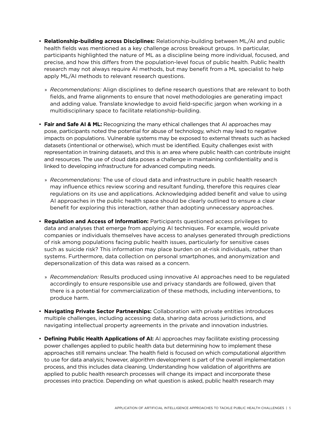- **Relationship-building across Disciplines:** Relationship-building between ML/AI and public health fields was mentioned as a key challenge across breakout groups. In particular, participants highlighted the nature of ML as a discipline being more individual, focused, and precise, and how this differs from the population-level focus of public health. Public health research may not always require AI methods, but may benefit from a ML specialist to help apply ML/AI methods to relevant research questions.
	- » *Recommendations:* Align disciplines to define research questions that are relevant to both fields, and frame alignments to ensure that novel methodologies are generating impact and adding value. Translate knowledge to avoid field-specific jargon when working in a multidisciplinary space to facilitate relationship-building.
- **Fair and Safe AI & ML:** Recognizing the many ethical challenges that AI approaches may pose, participants noted the potential for abuse of technology, which may lead to negative impacts on populations. Vulnerable systems may be exposed to external threats such as hacked datasets (intentional or otherwise), which must be identified. Equity challenges exist with representation in training datasets, and this is an area where public health can contribute insight and resources. The use of cloud data poses a challenge in maintaining confidentiality and is linked to developing infrastructure for advanced computing needs.
	- » *Recommendations:* The use of cloud data and infrastructure in public health research may influence ethics review scoring and resultant funding, therefore this requires clear regulations on its use and applications. Acknowledging added benefit and value to using AI approaches in the public health space should be clearly outlined to ensure a clear benefit for exploring this interaction, rather than adopting unnecessary approaches.
- **Regulation and Access of Information:** Participants questioned access privileges to data and analyses that emerge from applying AI techniques. For example, would private companies or individuals themselves have access to analyses generated through predictions of risk among populations facing public health issues, particularly for sensitive cases such as suicide risk? This information may place burden on at-risk individuals, rather than systems. Furthermore, data collection on personal smartphones, and anonymization and depersonalization of this data was raised as a concern.
	- » *Recommendation:* Results produced using innovative AI approaches need to be regulated accordingly to ensure responsible use and privacy standards are followed, given that there is a potential for commercialization of these methods, including interventions, to produce harm.
- **Navigating Private Sector Partnerships:** Collaboration with private entities introduces multiple challenges, including accessing data, sharing data across jurisdictions, and navigating intellectual property agreements in the private and innovation industries.
- **Defining Public Health Applications of AI:** AI approaches may facilitate existing processing power challenges applied to public health data but determining how to implement these approaches still remains unclear. The health field is focused on which computational algorithm to use for data analysis; however, algorithm development is part of the overall implementation process, and this includes data cleaning. Understanding how validation of algorithms are applied to public health research processes will change its impact and incorporate these processes into practice. Depending on what question is asked, public health research may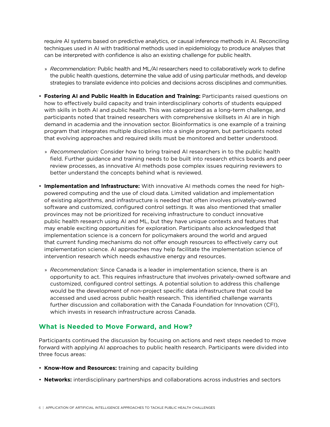require AI systems based on predictive analytics, or causal inference methods in AI. Reconciling techniques used in AI with traditional methods used in epidemiology to produce analyses that can be interpreted with confidence is also an existing challenge for public health.

- » *Recommendation:* Public health and ML/AI researchers need to collaboratively work to define the public health questions, determine the value add of using particular methods, and develop strategies to translate evidence into policies and decisions across disciplines and communities.
- **Fostering AI and Public Health in Education and Training:** Participants raised questions on how to effectively build capacity and train interdisciplinary cohorts of students equipped with skills in both AI and public health. This was categorized as a long-term challenge, and participants noted that trained researchers with comprehensive skillsets in AI are in high demand in academia and the innovation sector. Bioinformatics is one example of a training program that integrates multiple disciplines into a single program, but participants noted that evolving approaches and required skills must be monitored and better understood.
	- » *Recommendation:* Consider how to bring trained AI researchers in to the public health field. Further guidance and training needs to be built into research ethics boards and peer review processes, as innovative AI methods pose complex issues requiring reviewers to better understand the concepts behind what is reviewed.
- **Implementation and Infrastructure:** With innovative AI methods comes the need for highpowered computing and the use of cloud data. Limited validation and implementation of existing algorithms, and infrastructure is needed that often involves privately-owned software and customized, configured control settings. It was also mentioned that smaller provinces may not be prioritized for receiving infrastructure to conduct innovative public health research using AI and ML, but they have unique contexts and features that may enable exciting opportunities for exploration. Participants also acknowledged that implementation science is a concern for policymakers around the world and argued that current funding mechanisms do not offer enough resources to effectively carry out implementation science. AI approaches may help facilitate the implementation science of intervention research which needs exhaustive energy and resources.
	- » *Recommendation:* Since Canada is a leader in implementation science, there is an opportunity to act. This requires infrastructure that involves privately-owned software and customized, configured control settings. A potential solution to address this challenge would be the development of non-project specific data infrastructure that could be accessed and used across public health research. This identified challenge warrants further discussion and collaboration with the Canada Foundation for Innovation (CFI), which invests in research infrastructure across Canada.

### **What is Needed to Move Forward, and How?**

Participants continued the discussion by focusing on actions and next steps needed to move forward with applying AI approaches to public health research. Participants were divided into three focus areas:

- **Know-How and Resources:** training and capacity building
- **Networks:** interdisciplinary partnerships and collaborations across industries and sectors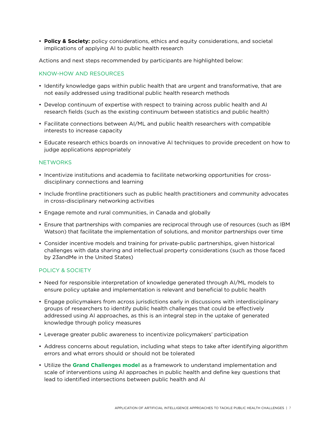• **Policy & Society:** policy considerations, ethics and equity considerations, and societal implications of applying AI to public health research

Actions and next steps recommended by participants are highlighted below:

#### KNOW-HOW AND RESOURCES

- Identify knowledge gaps within public health that are urgent and transformative, that are not easily addressed using traditional public health research methods
- Develop continuum of expertise with respect to training across public health and AI research fields (such as the existing continuum between statistics and public health)
- Facilitate connections between AI/ML and public health researchers with compatible interests to increase capacity
- Educate research ethics boards on innovative AI techniques to provide precedent on how to judge applications appropriately

#### **NETWORKS**

- Incentivize institutions and academia to facilitate networking opportunities for crossdisciplinary connections and learning
- Include frontline practitioners such as public health practitioners and community advocates in cross-disciplinary networking activities
- Engage remote and rural communities, in Canada and globally
- Ensure that partnerships with companies are reciprocal through use of resources (such as IBM Watson) that facilitate the implementation of solutions, and monitor partnerships over time
- Consider incentive models and training for private-public partnerships, given historical challenges with data sharing and intellectual property considerations (such as those faced by 23andMe in the United States)

#### POLICY & SOCIETY

- Need for responsible interpretation of knowledge generated through AI/ML models to ensure policy uptake and implementation is relevant and beneficial to public health
- Engage policymakers from across jurisdictions early in discussions with interdisciplinary groups of researchers to identify public health challenges that could be effectively addressed using AI approaches, as this is an integral step in the uptake of generated knowledge through policy measures
- Leverage greater public awareness to incentivize policymakers' participation
- Address concerns about regulation, including what steps to take after identifying algorithm errors and what errors should or should not be tolerated
- Utilize the **[Grand Challenges model](https://gcgh.grandchallenges.org/about)** as a framework to understand implementation and scale of interventions using AI approaches in public health and define key questions that lead to identified intersections between public health and AI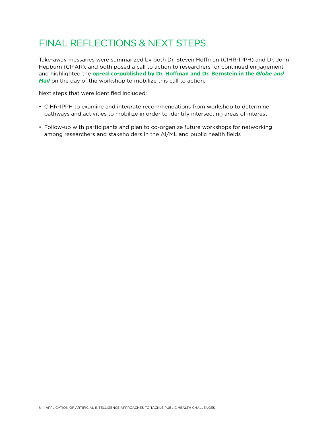# FINAL REFLECTIONS & NEXT STEPS

Take-away messages were summarized by both Dr. Steven Hoffman (CIHR-IPPH) and Dr. John Hepburn (CIFAR), and both posed a call to action to researchers for continued engagement and highlighted the **[op-ed co-published by Dr. Hoffman and Dr. Bernstein in the](https://www.theglobeandmail.com/opinion/fighting-the-flu-we-need-a-new-kind-of-intelligence/article37676339/)** *Globe and [Mail](https://www.theglobeandmail.com/opinion/fighting-the-flu-we-need-a-new-kind-of-intelligence/article37676339/)* on the day of the workshop to mobilize this call to action.

Next steps that were identified included:

- CIHR-IPPH to examine and integrate recommendations from workshop to determine pathways and activities to mobilize in order to identify intersecting areas of interest
- Follow-up with participants and plan to co-organize future workshops for networking among researchers and stakeholders in the AI/ML and public health fields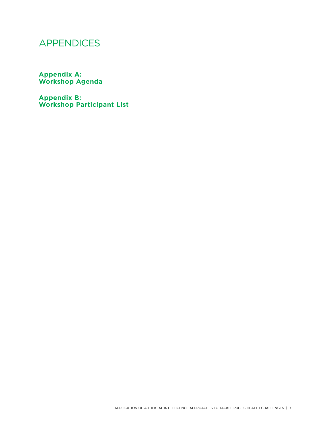## APPENDICES

**Appendix A: Workshop Agenda**

**Appendix B: Workshop Participant List**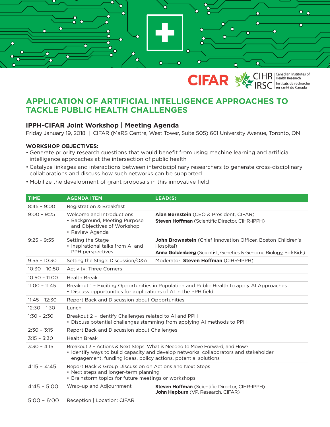



**CIHR** | Canadian Institutes of Instituts de recherche<br>en santé du Canada

### **APPLICATION OF ARTIFICIAL INTELLIGENCE APPROACHES TO TACKLE PUBLIC HEALTH CHALLENGES**

### **IPPH-CIFAR Joint Workshop | Meeting Agenda**

Friday January 19, 2018 | CIFAR (MaRS Centre, West Tower, Suite 505) 661 University Avenue, Toronto, ON

#### **WORKSHOP OBJECTIVES:**

- Generate priority research questions that would benefit from using machine learning and artificial intelligence approaches at the intersection of public health
- Catalyze linkages and interactions between interdisciplinary researchers to generate cross-disciplinary collaborations and discuss how such networks can be supported
- Mobilize the development of grant proposals in this innovative field

| <b>TIME</b>     | <b>AGENDA ITEM</b>                                                                                                                                                                                                                     | LEAD(S)                                                                                                                                              |  |
|-----------------|----------------------------------------------------------------------------------------------------------------------------------------------------------------------------------------------------------------------------------------|------------------------------------------------------------------------------------------------------------------------------------------------------|--|
| $8:45 - 9:00$   | <b>Registration &amp; Breakfast</b>                                                                                                                                                                                                    |                                                                                                                                                      |  |
| $9:00 - 9:25$   | Welcome and Introductions<br>• Background, Meeting Purpose<br>and Objectives of Workshop<br>• Review Agenda                                                                                                                            | Alan Bernstein (CEO & President, CIFAR)<br><b>Steven Hoffman</b> (Scientific Director, CIHR-IPPH)                                                    |  |
| $9:25 - 9:55$   | Setting the Stage<br>• Inspirational talks from AI and<br>PPH perspectives                                                                                                                                                             | John Brownstein (Chief Innovation Officer, Boston Children's<br>Hospital)<br><b>Anna Goldenberg</b> (Scientist, Genetics & Genome Biology, SickKids) |  |
| $9:55 - 10:30$  | Setting the Stage: Discussion/Q&A                                                                                                                                                                                                      | Moderator: Steven Hoffman (CIHR-IPPH)                                                                                                                |  |
| $10:30 - 10:50$ | <b>Activity: Three Corners</b>                                                                                                                                                                                                         |                                                                                                                                                      |  |
| $10:50 - 11:00$ | <b>Health Break</b>                                                                                                                                                                                                                    |                                                                                                                                                      |  |
| $11:00 - 11:45$ | Breakout 1 - Exciting Opportunities in Population and Public Health to apply AI Approaches<br>• Discuss opportunities for applications of AI in the PPH field                                                                          |                                                                                                                                                      |  |
| $11:45 - 12:30$ | Report Back and Discussion about Opportunities                                                                                                                                                                                         |                                                                                                                                                      |  |
| $12:30 - 1:30$  | Lunch                                                                                                                                                                                                                                  |                                                                                                                                                      |  |
| $1:30 - 2:30$   | Breakout 2 - Identify Challenges related to AI and PPH<br>• Discuss potential challenges stemming from applying AI methods to PPH                                                                                                      |                                                                                                                                                      |  |
| $2:30 - 3:15$   | Report Back and Discussion about Challenges                                                                                                                                                                                            |                                                                                                                                                      |  |
| $3:15 - 3:30$   | <b>Health Break</b>                                                                                                                                                                                                                    |                                                                                                                                                      |  |
| $3:30 - 4:15$   | Breakout 3 - Actions & Next Steps: What is Needed to Move Forward, and How?<br>• Identify ways to build capacity and develop networks, collaborators and stakeholder<br>engagement, funding ideas, policy actions, potential solutions |                                                                                                                                                      |  |
| $4:15 - 4:45$   | Report Back & Group Discussion on Actions and Next Steps<br>• Next steps and longer-term planning<br>• Brainstorm topics for future meetings or workshops                                                                              |                                                                                                                                                      |  |
| $4:45 - 5:00$   | Wrap-up and Adjournment                                                                                                                                                                                                                | Steven Hoffman (Scientific Director, CIHR-IPPH)<br>John Hepburn (VP, Research, CIFAR)                                                                |  |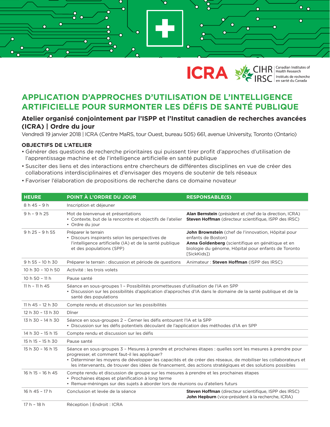



### **APPLICATION D'APPROCHES D'UTILISATION DE L'INTELLIGENCE ARTIFICIELLE POUR SURMONTER LES DÉFIS DE SANTÉ PUBLIQUE**

### **Atelier organisé conjointement par l'ISPP et l'Institut canadien de recherches avancées (ICRA) | Ordre du jour**

Vendredi 19 janvier 2018 | ICRA (Centre MaRS, tour Ouest, bureau 505) 661, avenue University, Toronto (Ontario)

#### **OBJECTIFS DE L'ATELIER**

- Générer des questions de recherche prioritaires qui puissent tirer profit d'approches d'utilisation de l'apprentissage machine et de l'intelligence artificielle en santé publique
- Susciter des liens et des interactions entre chercheurs de diférentes disciplines en vue de créer des collaborations interdisciplinaires et d'envisager des moyens de soutenir de tels réseaux
- Favoriser l'élaboration de propositions de recherche dans ce domaine novateur

| <b>HEURE</b>      | POINT À L'ORDRE DU JOUR                                                                                                                                                                                                                                                                                                                                                                       | <b>RESPONSABLE(S)</b>                                                                                                                                                                               |  |
|-------------------|-----------------------------------------------------------------------------------------------------------------------------------------------------------------------------------------------------------------------------------------------------------------------------------------------------------------------------------------------------------------------------------------------|-----------------------------------------------------------------------------------------------------------------------------------------------------------------------------------------------------|--|
| $8h45 - 9h$       | Inscription et déjeuner                                                                                                                                                                                                                                                                                                                                                                       |                                                                                                                                                                                                     |  |
| $9 h - 9 h 25$    | Mot de bienvenue et présentations<br>• Contexte, but de la rencontre et objectifs de l'atelier<br>• Ordre du jour                                                                                                                                                                                                                                                                             | Alan Bernstein (président et chef de la direction, ICRA)<br><b>Steven Hoffman</b> (directeur scientifique, ISPP des IRSC)                                                                           |  |
| $9 h 25 - 9 h 55$ | Préparer le terrain<br>• Discours inspirants selon les perspectives de<br>l'intelligence artificielle (IA) et de la santé publique<br>et des populations (SPP)                                                                                                                                                                                                                                | John Brownstein (chef de l'innovation, Hôpital pour<br>enfants de Boston)<br>Anna Goldenberg (scientifique en génétique et en<br>biologie du génome, Hôpital pour enfants de Toronto<br>[SickKids]) |  |
| 9 h 55 - 10 h 30  | Préparer le terrain : discussion et période de questions                                                                                                                                                                                                                                                                                                                                      | Animateur: Steven Hoffman (ISPP des IRSC)                                                                                                                                                           |  |
| 10 h 30 - 10 h 50 | Activité : les trois volets                                                                                                                                                                                                                                                                                                                                                                   |                                                                                                                                                                                                     |  |
| $10h50 - 11h$     | Pause santé                                                                                                                                                                                                                                                                                                                                                                                   |                                                                                                                                                                                                     |  |
| $11 h - 11 h 45$  | Séance en sous-groupes 1 - Possibilités prometteuses d'utilisation de l'IA en SPP<br>· Discussion sur les possibilités d'application d'approches d'IA dans le domaine de la santé publique et de la<br>santé des populations                                                                                                                                                                  |                                                                                                                                                                                                     |  |
| 11 h 45 - 12 h 30 | Compte rendu et discussion sur les possibilités                                                                                                                                                                                                                                                                                                                                               |                                                                                                                                                                                                     |  |
| 12 h 30 - 13 h 30 | Dîner                                                                                                                                                                                                                                                                                                                                                                                         |                                                                                                                                                                                                     |  |
| 13 h 30 - 14 h 30 | Séance en sous-groupes 2 - Cerner les défis entourant l'IA et la SPP<br>· Discussion sur les défis potentiels découlant de l'application des méthodes d'IA en SPP                                                                                                                                                                                                                             |                                                                                                                                                                                                     |  |
| 14 h 30 - 15 h 15 | Compte rendu et discussion sur les défis                                                                                                                                                                                                                                                                                                                                                      |                                                                                                                                                                                                     |  |
| 15 h 15 - 15 h 30 | Pause santé                                                                                                                                                                                                                                                                                                                                                                                   |                                                                                                                                                                                                     |  |
| 15 h 30 - 16 h 15 | Séance en sous-groupes 3 - Mesures à prendre et prochaines étapes : quelles sont les mesures à prendre pour<br>progresser, et comment faut-il les appliquer?<br>· Déterminer les moyens de développer les capacités et de créer des réseaux, de mobiliser les collaborateurs et<br>les intervenants, de trouver des idées de financement, des actions stratégiques et des solutions possibles |                                                                                                                                                                                                     |  |
| 16 h 15 - 16 h 45 | Compte rendu et discussion de groupe sur les mesures à prendre et les prochaines étapes<br>• Prochaines étapes et planification à long terme<br>· Remue-méninges sur des sujets à aborder lors de réunions ou d'ateliers futurs                                                                                                                                                               |                                                                                                                                                                                                     |  |
| 16 h 45 - 17 h    | Conclusion et levée de la séance                                                                                                                                                                                                                                                                                                                                                              | Steven Hoffman (directeur scientifique, ISPP des IRSC)<br>John Hepburn (vice-président à la recherche, ICRA)                                                                                        |  |
| $17h - 18h$       | Réception   Endroit : ICRA                                                                                                                                                                                                                                                                                                                                                                    |                                                                                                                                                                                                     |  |